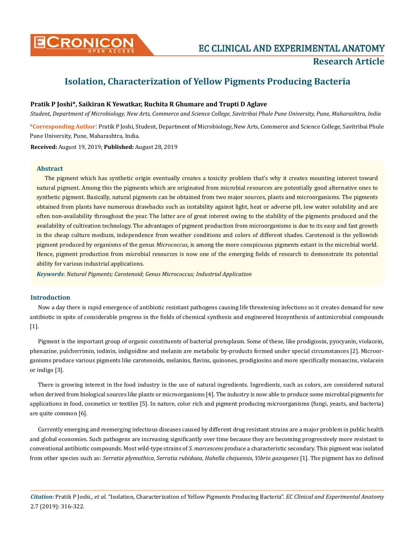

# **Isolation, Characterization of Yellow Pigments Producing Bacteria**

# **Pratik P Joshi\*, Saikiran K Yewatkar, Ruchita R Ghumare and Trupti D Aglave**

**\*Corresponding Author**: Pratik P Joshi, Student, Department of Microbiology, New Arts, Commerce and Science College, Savitribai Phule Pune University, Pune, Maharashtra, India. *Student, Department of Microbiology, New Arts, Commerce and Science College, Savitribai Phule Pune University, Pune, Maharashtra, India*

**Received:** August 19, 2019; **Published:** August 28, 2019

#### **Abstract**

The pigment which has synthetic origin eventually creates a toxicity problem that's why it creates mounting interest toward natural pigment. Among this the pigments which are originated from microbial resources are potentially good alternative ones to synthetic pigment. Basically, natural pigments can be obtained from two major sources, plants and microorganisms. The pigments obtained from plants have numerous drawbacks such as instability against light, heat or adverse pH, low water solubility and are often non-availability throughout the year. The latter are of great interest owing to the stability of the pigments produced and the availability of cultivation technology. The advantages of pigment production from microorganisms is due to its easy and fast growth in the cheap culture medium, independence from weather conditions and colors of different shades. Carotenoid is the yellowish pigment produced by organisms of the genus *Micrococcus*, is among the more conspicuous pigments extant in the microbial world. Hence, pigment production from microbial resources is now one of the emerging fields of research to demonstrate its potential ability for various industrial applications.

*Keywords*: *Natural Pigments; Carotenoid; Genus Micrococcus; Industrial Application*

# **Introduction**

Now a day there is rapid emergence of antibiotic resistant pathogens causing life threatening infections so it creates demand for new antibiotic in spite of considerable progress in the fields of chemical synthesis and engineered biosynthesis of antimicrobial compounds [1].

Pigment is the important group of organic constituents of bacterial protoplasm. Some of these, like prodigiosin, pyocyanin, violacein, phenazine, pulcherrimin, iodinin, indigoidine and melanin are metabolic by-products formed under special circumstances [2]. Microorganisms produce various pigments like carotenoids, melanins, flavins, quinones, prodigiosins and more specifically monascins, violacein or indigo [3].

There is growing interest in the food industry in the use of natural ingredients. Ingredients, such as colors, are considered natural when derived from biological sources like plants or microorganisms [4]. The industry is now able to produce some microbial pigments for applications in food, cosmetics or textiles [5]. In nature, color rich and pigment producing microorganisms (fungi, yeasts, and bacteria) are quite common [6].

Currently emerging and reemerging infectious diseases caused by different drug resistant strains are a major problem in public health and global economies. Such pathogens are increasing significantly over time because they are becoming progressively more resistant to conventional antibiotic compounds. Most wild-type strains of *S. marcescens* produce a characteristic secondary. This pigment was isolated from other species such as: *Serratia plymuthica*, *Serratia rubidaea*, *Hahella chejuensis*, *Vibrio gazogenes* [1]. The pigment has no defined

*Citation:* Pratik P Joshi*., et al.* "Isolation, Characterization of Yellow Pigments Producing Bacteria". *EC Clinical and Experimental Anatomy*  2.7 (2019): 316-322.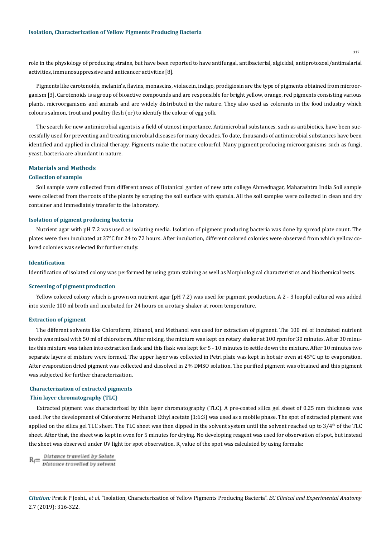role in the physiology of producing strains, but have been reported to have antifungal, antibacterial, algicidal, antiprotozoal/antimalarial activities, immunosuppressive and anticancer activities [8].

Pigments like carotenoids, melanin's, flavins, monascins, violacein, indigo, prodigiosin are the type of pigments obtained from microorganism [3]. Carotenoids is a group of bioactive compounds and are responsible for bright yellow, orange, red pigments consisting various plants, microorganisms and animals and are widely distributed in the nature. They also used as colorants in the food industry which colours salmon, trout and poultry flesh (or) to identify the colour of egg yolk.

The search for new antimicrobial agents is a field of utmost importance. Antimicrobial substances, such as antibiotics, have been successfully used for preventing and treating microbial diseases for many decades. To date, thousands of antimicrobial substances have been identified and applied in clinical therapy. Pigments make the nature colourful. Many pigment producing microorganisms such as fungi, yeast, bacteria are abundant in nature.

## **Materials and Methods**

## **Collection of sample**

Soil sample were collected from different areas of Botanical garden of new arts college Ahmednagar, Maharashtra India Soil sample were collected from the roots of the plants by scraping the soil surface with spatula. All the soil samples were collected in clean and dry container and immediately transfer to the laboratory.

#### **Isolation of pigment producing bacteria**

Nutrient agar with pH 7.2 was used as isolating media. Isolation of pigment producing bacteria was done by spread plate count. The plates were then incubated at 37°C for 24 to 72 hours. After incubation, different colored colonies were observed from which yellow colored colonies was selected for further study.

#### **Identification**

Identification of isolated colony was performed by using gram staining as well as Morphological characteristics and biochemical tests.

## **Screening of pigment production**

Yellow colored colony which is grown on nutrient agar (pH 7.2) was used for pigment production. A 2 - 3 loopful cultured was added into sterile 100 ml broth and incubated for 24 hours on a rotary shaker at room temperature.

#### **Extraction of pigment**

The different solvents like Chloroform, Ethanol, and Methanol was used for extraction of pigment. The 100 ml of incubated nutrient broth was mixed with 50 ml of chloroform. After mixing, the mixture was kept on rotary shaker at 100 rpm for 30 minutes. After 30 minutes this mixture was taken into extraction flask and this flask was kept for 5 - 10 minutes to settle down the mixture. After 10 minutes two separate layers of mixture were formed. The upper layer was collected in Petri plate was kept in hot air oven at 45°C up to evaporation. After evaporation dried pigment was collected and dissolved in 2% DMSO solution. The purified pigment was obtained and this pigment was subjected for further characterization.

# **Characterization of extracted pigments**

#### **Thin layer chromatography (TLC)**

Extracted pigment was characterized by thin layer chromatography (TLC). A pre-coated silica gel sheet of 0.25 mm thickness was used. For the development of Chloroform: Methanol: Ethyl acetate (1:6:3) was used as a mobile phase. The spot of extracted pigment was applied on the silica gel TLC sheet. The TLC sheet was then dipped in the solvent system until the solvent reached up to  $3/4<sup>th</sup>$  of the TLC sheet. After that, the sheet was kept in oven for 5 minutes for drying. No developing reagent was used for observation of spot, but instead the sheet was observed under UV light for spot observation.  $\mathrm{R_{f}}$  value of the spot was calculated by using formula:

 $R_f = \frac{Distance\ traveled\ by\ Solve}{Distance\ traveled\ by\ solvent}$ 

*Citation:* Pratik P Joshi*., et al.* "Isolation, Characterization of Yellow Pigments Producing Bacteria". *EC Clinical and Experimental Anatomy*  2.7 (2019): 316-322.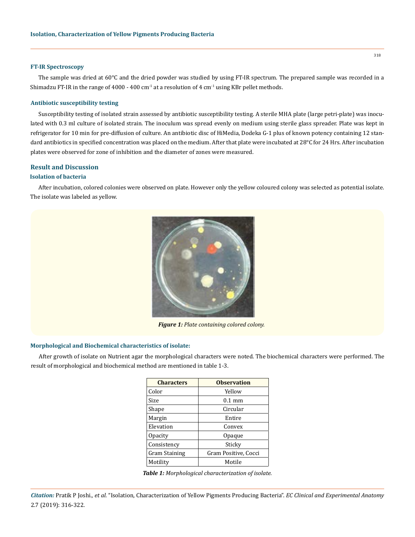#### **FT-IR Spectroscopy**

The sample was dried at 60°C and the dried powder was studied by using FT-IR spectrum. The prepared sample was recorded in a Shimadzu FT-IR in the range of 4000 - 400 cm<sup>-1</sup> at a resolution of 4 cm<sup>-1</sup> using KBr pellet methods.

#### **Antibiotic susceptibility testing**

Susceptibility testing of isolated strain assessed by antibiotic susceptibility testing. A sterile MHA plate (large petri-plate) was inoculated with 0.3 ml culture of isolated strain. The inoculum was spread evenly on medium using sterile glass spreader. Plate was kept in refrigerator for 10 min for pre-diffusion of culture. An antibiotic disc of HiMedia, Dodeka G-1 plus of known potency containing 12 standard antibiotics in specified concentration was placed on the medium. After that plate were incubated at 28°C for 24 Hrs. After incubation plates were observed for zone of inhibition and the diameter of zones were measured.

# **Result and Discussion**

## **Isolation of bacteria**

After incubation, colored colonies were observed on plate. However only the yellow coloured colony was selected as potential isolate. The isolate was labeled as yellow.



*Figure 1: Plate containing colored colony.*

#### **Morphological and Biochemical characteristics of isolate:**

After growth of isolate on Nutrient agar the morphological characters were noted. The biochemical characters were performed. The result of morphological and biochemical method are mentioned in table 1-3.

| <b>Characters</b>    | <b>Observation</b>   |  |
|----------------------|----------------------|--|
| Color                | Yellow               |  |
| Size                 | $0.1 \text{ mm}$     |  |
| Shape                | Circular             |  |
| Margin               | Entire               |  |
| Elevation            | Convex               |  |
| <b>Opacity</b>       | Opaque               |  |
| Consistency          | Sticky               |  |
| <b>Gram Staining</b> | Gram Positive, Cocci |  |
| Motility             | Motile               |  |

*Table 1: Morphological characterization of isolate.*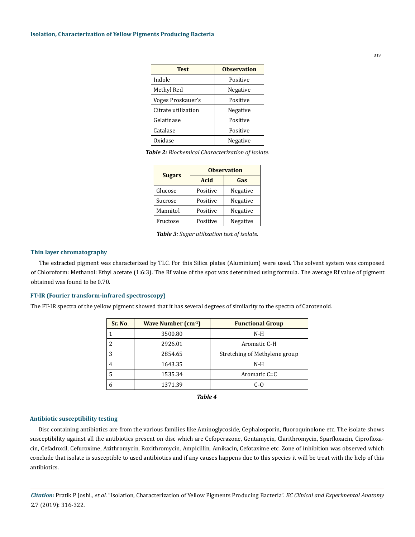| <b>Test</b>         | <b>Observation</b> |  |
|---------------------|--------------------|--|
| Indole              | Positive           |  |
| Methyl Red          | Negative           |  |
| Voges Proskauer's   | Positive           |  |
| Citrate utilization | Negative           |  |
| Gelatinase          | Positive           |  |
| Catalase            | Positive           |  |
| Oxidase             | Negative           |  |

*Table 2: Biochemical Characterization of isolate.*

| <b>Sugars</b> | <b>Observation</b> |          |  |
|---------------|--------------------|----------|--|
|               | Acid               | Gas      |  |
| Glucose       | Positive           | Negative |  |
| Sucrose       | Positive           | Negative |  |
| Mannitol      | Positive           | Negative |  |
| Fructose      | Positive           | Negative |  |

*Table 3: Sugar utilization test of isolate.*

#### **Thin layer chromatography**

The extracted pigment was characterized by TLC. For this Silica plates (Aluminium) were used. The solvent system was composed of Chloroform: Methanol: Ethyl acetate (1:6:3). The Rf value of the spot was determined using formula. The average Rf value of pigment obtained was found to be 0.70.

#### **FT-IR (Fourier transform-infrared spectroscopy)**

The FT-IR spectra of the yellow pigment showed that it has several degrees of similarity to the spectra of Carotenoid.

| Sr. No. | Wave Number $(cm-1)$ | <b>Functional Group</b>       |  |
|---------|----------------------|-------------------------------|--|
|         | 3500.80              | $N-H$                         |  |
| 2       | 2926.01              | Aromatic C-H                  |  |
| 3       | 2854.65              | Stretching of Methylene group |  |
| 4       | 1643.35              | $N-H$                         |  |
| 5       | 1535.34              | Aromatic C=C                  |  |
| 6       | 1371.39              | C-O                           |  |

*Table 4*

#### **Antibiotic susceptibility testing**

Disc containing antibiotics are from the various families like Aminoglycoside, Cephalosporin, fluoroquinolone etc. The isolate shows susceptibility against all the antibiotics present on disc which are Cefoperazone, Gentamycin, Clarithromycin, Sparfloxacin, Ciprofloxacin, Cefadroxil, Cefuroxime, Azithromycin, Roxithromycin, Ampicillin, Amikacin, Cefotaxime etc. Zone of inhibition was observed which conclude that isolate is susceptible to used antibiotics and if any causes happens due to this species it will be treat with the help of this antibiotics.

*Citation:* Pratik P Joshi*., et al.* "Isolation, Characterization of Yellow Pigments Producing Bacteria". *EC Clinical and Experimental Anatomy*  2.7 (2019): 316-322.

319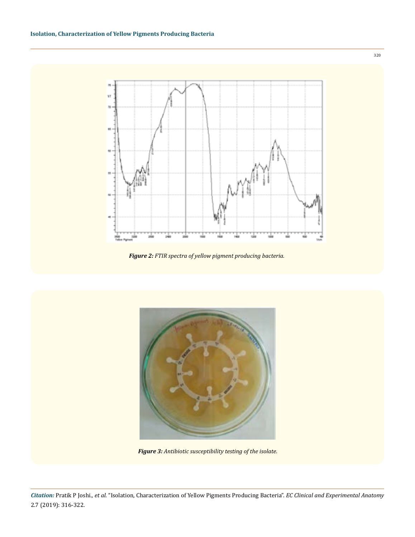

*Figure 2: FTIR spectra of yellow pigment producing bacteria.*



*Figure 3: Antibiotic susceptibility testing of the isolate.*

320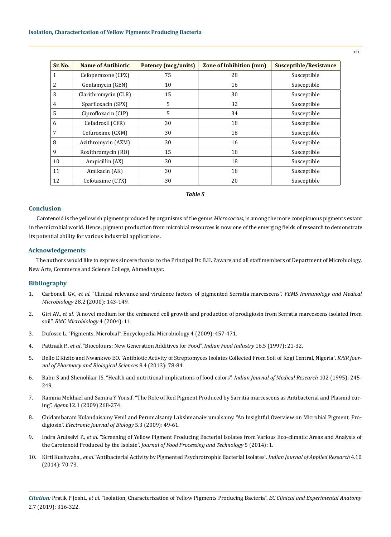| Sr. No.        | <b>Name of Antibiotic</b> | <b>Potency (mcg/units)</b> | <b>Zone of Inhibition (mm)</b> | Susceptible/Resistance |
|----------------|---------------------------|----------------------------|--------------------------------|------------------------|
| $\mathbf{1}$   | Cefoperazone (CPZ)        | 75                         | 28                             | Susceptible            |
| 2              | Gentamycin (GEN)          | 10                         | 16                             | Susceptible            |
| 3              | Clarithromycin (CLR)      | 15                         | 30                             | Susceptible            |
| $\overline{4}$ | Sparfloxacin (SPX)        | 5                          | 32                             | Susceptible            |
| 5              | Ciprofloxacin (CIP)       | 5                          | 34                             | Susceptible            |
| 6              | Cefadroxil (CFR)          | 30                         | 18                             | Susceptible            |
| 7              | Cefuroxime (CXM)          | 30                         | 18                             | Susceptible            |
| 8              | Azithromycin (AZM)        | 30                         | 16                             | Susceptible            |
| 9              | Roxithromycin (RO)        | 15                         | 18                             | Susceptible            |
| 10             | Ampicillin (AX)           | 30                         | 18                             | Susceptible            |
| 11             | Amikacin (AK)             | 30                         | 18                             | Susceptible            |
| 12             | Cefotaxime (CTX)          | 30                         | 20                             | Susceptible            |

# *Table 5*

# **Conclusion**

Carotenoid is the yellowish pigment produced by organisms of the genus *Micrococcus*, is among the more conspicuous pigments extant in the microbial world. Hence, pigment production from microbial resources is now one of the emerging fields of research to demonstrate its potential ability for various industrial applications.

## **Acknowledgements**

The authors would like to express sincere thanks to the Principal Dr. B.H. Zaware and all staff members of Department of Microbiology, New Arts, Commerce and Science College, Ahmednagar.

## **Bibliography**

- 1. Carbonell GV., *et al*[. "Clinical relevance and virulence factors of pigmented Serratia marcescens".](https://www.ncbi.nlm.nih.gov/pubmed/10799805) *FEMS Immunology and Medical Microbiology* [28.2 \(2000\): 143-149.](https://www.ncbi.nlm.nih.gov/pubmed/10799805)
- 2. Giri AV., *et al*[. "A novel medium for the enhanced cell growth and production of prodigiosin from Serratia marcescens isolated from](https://www.ncbi.nlm.nih.gov/pmc/articles/PMC404375/) soil". *[BMC Microbiology](https://www.ncbi.nlm.nih.gov/pmc/articles/PMC404375/)* 4 (2004): 11.
- 3. [Dufosse L. "Pigments, Microbial". Encyclopedia Microbiology 4 \(2009\): 457-471.](https://www.researchgate.net/publication/258149135_Pigments_Microbial)
- 4. Pattnaik P., *et al*[. "Biocolours: New Generation Additives for Food".](https://www.semanticscholar.org/paper/BIOCOLOURS-%3A-NEW-GENERATION-ADDITIVES-FOR-FOOD-Pattnaik-Roy/b7dacf1892472a4df39612e9c315c74d8bc5a7a3) *Indian Food Industry* 16.5 (1997): 21-32.
- 5. [Bello E Kizito and Nwankwo EO. "Antibiotic Activity of Streptomyces Isolates Collected From Soil of Kogi Central, Nigeria".](http://iosrjournals.org/iosr-jpbs/papers/Vol8-issue4/M0847884.pdf?id=7389) *IOSR Jour[nal of Pharmacy and Biological Sciences](http://iosrjournals.org/iosr-jpbs/papers/Vol8-issue4/M0847884.pdf?id=7389)* 8.4 (2013): 78-84.
- 6. [Babu S and Shenolikar IS. "Health and nutritional implications of food colors".](https://www.ncbi.nlm.nih.gov/pubmed/8675246) *Indian Journal of Medical Research* 102 (1995): 245- [249.](https://www.ncbi.nlm.nih.gov/pubmed/8675246)
- 7. Ramina Mekhael and Samira Y Yousif. "The Role of Red Pigment Produced by Sarritia marcescens as Antibacterial and Plasmid curing". *Agent* 12.1 (2009) 268-274.
- 8. [Chidambaram Kulandaisamy Venil and Perumalsamy Lakshmanaierumalsamy. "An Insightful Overview on Microbial Pigment, Pro](http://ejbio.imedpub.com/an-insightful-overview-on-microbial-pigment-prodigiosin.pdf)digiosin". *[Electronic Journal of Biology](http://ejbio.imedpub.com/an-insightful-overview-on-microbial-pigment-prodigiosin.pdf)* 5.3 (2009): 49-61.
- 9. Indra Arulselvi P., *et al*[. "Screening of Yellow Pigment Producing Bacterial Isolates from Various Eco-climatic Areas and Analysis of](https://pdfs.semanticscholar.org/16e6/74d92f271fe7e3ab1c29aa6b9935d499c1da.pdf)  the Carotenoid Produced by the Isolate". *[Journal of Food Processing and Technology](https://pdfs.semanticscholar.org/16e6/74d92f271fe7e3ab1c29aa6b9935d499c1da.pdf)* 5 (2014): 1.
- 10. Kirti Kushwaha., *et al*[. "Antibacterial Activity by Pigmented Psychrotrophic Bacterial Isolates".](https://www.researchgate.net/publication/272040591_Antimicrobial_activity_by_pigmented_psychrotrophic_bacterial_isolates) *Indian Journal of Applied Research* 4.10 [\(2014\): 70-73.](https://www.researchgate.net/publication/272040591_Antimicrobial_activity_by_pigmented_psychrotrophic_bacterial_isolates)

*Citation:* Pratik P Joshi*., et al.* "Isolation, Characterization of Yellow Pigments Producing Bacteria". *EC Clinical and Experimental Anatomy*  2.7 (2019): 316-322.